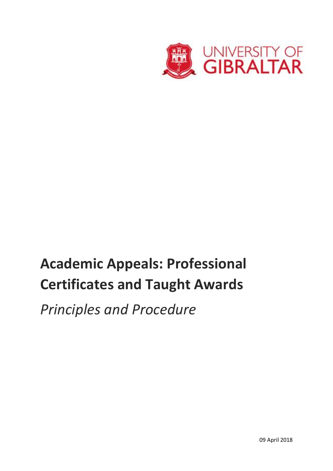

# **Academic Appeals: Professional Certificates and Taught Awards**

*Principles and Procedure*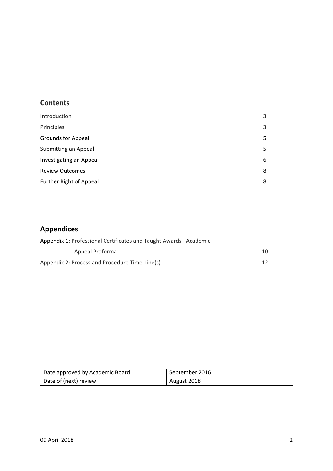# **Contents**

| Introduction              | 3 |
|---------------------------|---|
| Principles                | 3 |
| <b>Grounds for Appeal</b> | 5 |
| Submitting an Appeal      | 5 |
| Investigating an Appeal   | 6 |
| <b>Review Outcomes</b>    | 8 |
| Further Right of Appeal   | 8 |
|                           |   |

# **Appendices**

| Appendix 1: Professional Certificates and Taught Awards - Academic |                 |  |
|--------------------------------------------------------------------|-----------------|--|
| Appeal Proforma                                                    | 10              |  |
| Appendix 2: Process and Procedure Time-Line(s)                     | 12 <sup>°</sup> |  |

| Date approved by Academic Board | September 2016 |
|---------------------------------|----------------|
| Date of (next) review           | August 2018    |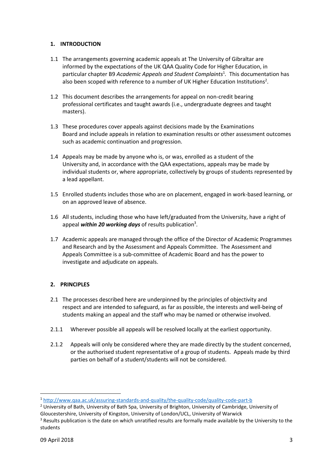## **1. INTRODUCTION**

- 1.1 The arrangements governing academic appeals at The University of Gibraltar are informed by the expectations of the UK QAA Quality Code for Higher Education, in particular chapter B9 *Academic Appeals and Student Complaints*<sup>1</sup> *.* This documentation has also been scoped with reference to a number of UK Higher Education Institutions<sup>2</sup>.
- 1.2 This document describes the arrangements for appeal on non-credit bearing professional certificates and taught awards (i.e., undergraduate degrees and taught masters).
- 1.3 These procedures cover appeals against decisions made by the Examinations Board and include appeals in relation to examination results or other assessment outcomes such as academic continuation and progression.
- 1.4 Appeals may be made by anyone who is, or was, enrolled as a student of the University and, in accordance with the QAA expectations, appeals may be made by individual students or, where appropriate, collectively by groups of students represented by a lead appellant.
- 1.5 Enrolled students includes those who are on placement, engaged in work-based learning, or on an approved leave of absence.
- 1.6 All students, including those who have left/graduated from the University, have a right of appeal within 20 working days of results publication<sup>3</sup>.
- 1.7 Academic appeals are managed through the office of the Director of Academic Programmes and Research and by the Assessment and Appeals Committee. The Assessment and Appeals Committee is a sub-committee of Academic Board and has the power to investigate and adjudicate on appeals.

## **2. PRINCIPLES**

- 2.1 The processes described here are underpinned by the principles of objectivity and respect and are intended to safeguard, as far as possible, the interests and well-being of students making an appeal and the staff who may be named or otherwise involved.
- 2.1.1 Wherever possible all appeals will be resolved locally at the earliest opportunity.
- 2.1.2 Appeals will only be considered where they are made directly by the student concerned, or the authorised student representative of a group of students. Appeals made by third parties on behalf of a student/students will not be considered.

 $\overline{\phantom{a}}$ 

<sup>1</sup> <http://www.qaa.ac.uk/assuring-standards-and-quality/the-quality-code/quality-code-part-b>

<sup>&</sup>lt;sup>2</sup> University of Bath, University of Bath Spa, University of Brighton, University of Cambridge, University of Gloucestershire, University of Kingston, University of London/UCL, University of Warwick

<sup>&</sup>lt;sup>3</sup> Results publication is the date on which unratified results are formally made available by the University to the students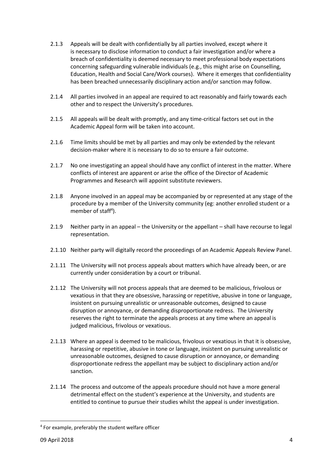- 2.1.3 Appeals will be dealt with confidentially by all parties involved, except where it is necessary to disclose information to conduct a fair investigation and/or where a breach of confidentiality is deemed necessary to meet professional body expectations concerning safeguarding vulnerable individuals (e.g., this might arise on Counselling, Education, Health and Social Care/Work courses). Where it emerges that confidentiality has been breached unnecessarily disciplinary action and/or sanction may follow.
- 2.1.4 All parties involved in an appeal are required to act reasonably and fairly towards each other and to respect the University's procedures.
- 2.1.5 All appeals will be dealt with promptly, and any time-critical factors set out in the Academic Appeal form will be taken into account.
- 2.1.6 Time limits should be met by all parties and may only be extended by the relevant decision-maker where it is necessary to do so to ensure a fair outcome.
- 2.1.7 No one investigating an appeal should have any conflict of interest in the matter. Where conflicts of interest are apparent or arise the office of the Director of Academic Programmes and Research will appoint substitute reviewers.
- 2.1.8 Anyone involved in an appeal may be accompanied by or represented at any stage of the procedure by a member of the University community (eg: another enrolled student or a member of staff<sup>4</sup>).
- 2.1.9 Neither party in an appeal the University or the appellant shall have recourse to legal representation.
- 2.1.10 Neither party will digitally record the proceedings of an Academic Appeals Review Panel.
- 2.1.11 The University will not process appeals about matters which have already been, or are currently under consideration by a court or tribunal.
- 2.1.12 The University will not process appeals that are deemed to be malicious, frivolous or vexatious in that they are obsessive, harassing or repetitive, abusive in tone or language, insistent on pursuing unrealistic or unreasonable outcomes, designed to cause disruption or annoyance, or demanding disproportionate redress. The University reserves the right to terminate the appeals process at any time where an appeal is judged malicious, frivolous or vexatious.
- 2.1.13 Where an appeal is deemed to be malicious, frivolous or vexatious in that it is obsessive, harassing or repetitive, abusive in tone or language, insistent on pursuing unrealistic or unreasonable outcomes, designed to cause disruption or annoyance, or demanding disproportionate redress the appellant may be subject to disciplinary action and/or sanction.
- 2.1.14 The process and outcome of the appeals procedure should not have a more general detrimental effect on the student's experience at the University, and students are entitled to continue to pursue their studies whilst the appeal is under investigation.

**.** 

<sup>4</sup> For example, preferably the student welfare officer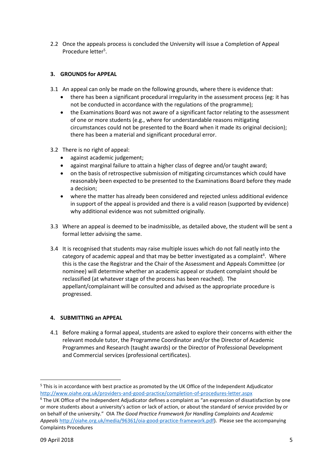2.2 Once the appeals process is concluded the University will issue a Completion of Appeal Procedure letter<sup>5</sup>.

# **3. GROUNDS for APPEAL**

- 3.1 An appeal can only be made on the following grounds, where there is evidence that:
	- there has been a significant procedural irregularity in the assessment process (eg: it has not be conducted in accordance with the regulations of the programme);
	- the Examinations Board was not aware of a significant factor relating to the assessment of one or more students (e.g., where for understandable reasons mitigating circumstances could not be presented to the Board when it made its original decision); there has been a material and significant procedural error.
- 3.2 There is no right of appeal:
	- against academic judgement;
	- against marginal failure to attain a higher class of degree and/or taught award;
	- on the basis of retrospective submission of mitigating circumstances which could have reasonably been expected to be presented to the Examinations Board before they made a decision;
	- where the matter has already been considered and rejected unless additional evidence in support of the appeal is provided and there is a valid reason (supported by evidence) why additional evidence was not submitted originally.
- 3.3 Where an appeal is deemed to be inadmissible, as detailed above, the student will be sent a formal letter advising the same.
- 3.4 It is recognised that students may raise multiple issues which do not fall neatly into the category of academic appeal and that may be better investigated as a complaint<sup>6</sup>. Where this is the case the Registrar and the Chair of the Assessment and Appeals Committee (or nominee) will determine whether an academic appeal or student complaint should be reclassified (at whatever stage of the process has been reached). The appellant/complainant will be consulted and advised as the appropriate procedure is progressed.

# **4. SUBMITTING an APPEAL**

4.1 Before making a formal appeal, students are asked to explore their concerns with either the relevant module tutor, the Programme Coordinator and/or the Director of Academic Programmes and Research (taught awards) or the Director of Professional Development and Commercial services (professional certificates).

 $\overline{\phantom{a}}$ 

<sup>5</sup> This is in accordance with best practice as promoted by the UK Office of the Independent Adjudicator <http://www.oiahe.org.uk/providers-and-good-practice/completion-of-procedures-letter.aspx>

<sup>&</sup>lt;sup>6</sup> The UK Office of the Independent Adjudicator defines a complaint as "an expression of dissatisfaction by one or more students about a university's action or lack of action, or about the standard of service provided by or on behalf of the university." OIA *The Good Practice Framework for Handling Complaints and Academic Appeals* [http://oiahe.org.uk/media/96361/oia-good-practice-framework.pdf\)](http://oiahe.org.uk/media/96361/oia-good-practice-framework.pdf). Please see the accompanying Complaints Procedures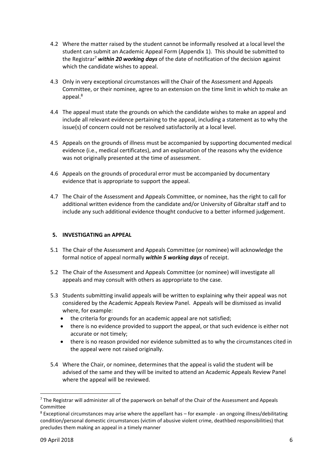- 4.2 Where the matter raised by the student cannot be informally resolved at a local level the student can submit an Academic Appeal Form (Appendix 1). This should be submitted to the Registrar<sup>7</sup> *within 20 working days* of the date of notification of the decision against which the candidate wishes to appeal.
- 4.3 Only in very exceptional circumstances will the Chair of the Assessment and Appeals Committee, or their nominee, agree to an extension on the time limit in which to make an appeal.<sup>8</sup>
- 4.4 The appeal must state the grounds on which the candidate wishes to make an appeal and include all relevant evidence pertaining to the appeal, including a statement as to why the issue(s) of concern could not be resolved satisfactorily at a local level.
- 4.5 Appeals on the grounds of illness must be accompanied by supporting documented medical evidence (i.e., medical certificates), and an explanation of the reasons why the evidence was not originally presented at the time of assessment.
- 4.6 Appeals on the grounds of procedural error must be accompanied by documentary evidence that is appropriate to support the appeal.
- 4.7 The Chair of the Assessment and Appeals Committee, or nominee, has the right to call for additional written evidence from the candidate and/or University of Gibraltar staff and to include any such additional evidence thought conducive to a better informed judgement.

## **5. INVESTIGATING an APPEAL**

- 5.1 The Chair of the Assessment and Appeals Committee (or nominee) will acknowledge the formal notice of appeal normally *within 5 working days* of receipt.
- 5.2 The Chair of the Assessment and Appeals Committee (or nominee) will investigate all appeals and may consult with others as appropriate to the case.
- 5.3 Students submitting invalid appeals will be written to explaining why their appeal was not considered by the Academic Appeals Review Panel. Appeals will be dismissed as invalid where, for example:
	- the criteria for grounds for an academic appeal are not satisfied;
	- there is no evidence provided to support the appeal, or that such evidence is either not accurate or not timely;
	- there is no reason provided nor evidence submitted as to why the circumstances cited in the appeal were not raised originally.
- 5.4 Where the Chair, or nominee, determines that the appeal is valid the student will be advised of the same and they will be invited to attend an Academic Appeals Review Panel where the appeal will be reviewed.

 $\overline{\phantom{a}}$ 

 $7$  The Registrar will administer all of the paperwork on behalf of the Chair of the Assessment and Appeals Committee

 $8$  Exceptional circumstances may arise where the appellant has  $-$  for example - an ongoing illness/debilitating condition/personal domestic circumstances (victim of abusive violent crime, deathbed responsibilities) that precludes them making an appeal in a timely manner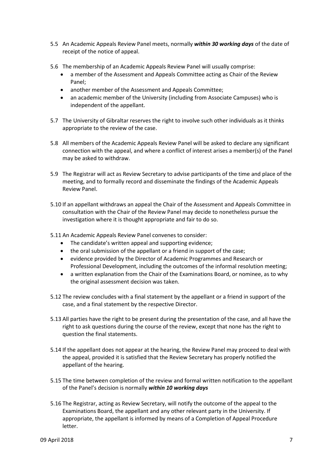- 5.5 An Academic Appeals Review Panel meets, normally *within 30 working days* of the date of receipt of the notice of appeal.
- 5.6 The membership of an Academic Appeals Review Panel will usually comprise:
	- a member of the Assessment and Appeals Committee acting as Chair of the Review Panel;
	- another member of the Assessment and Appeals Committee;
	- an academic member of the University (including from Associate Campuses) who is independent of the appellant.
- 5.7 The University of Gibraltar reserves the right to involve such other individuals as it thinks appropriate to the review of the case.
- 5.8 All members of the Academic Appeals Review Panel will be asked to declare any significant connection with the appeal, and where a conflict of interest arises a member(s) of the Panel may be asked to withdraw.
- 5.9 The Registrar will act as Review Secretary to advise participants of the time and place of the meeting, and to formally record and disseminate the findings of the Academic Appeals Review Panel.
- 5.10 If an appellant withdraws an appeal the Chair of the Assessment and Appeals Committee in consultation with the Chair of the Review Panel may decide to nonetheless pursue the investigation where it is thought appropriate and fair to do so.
- 5.11 An Academic Appeals Review Panel convenes to consider:
	- The candidate's written appeal and supporting evidence:
	- the oral submission of the appellant or a friend in support of the case;
	- evidence provided by the Director of Academic Programmes and Research or Professional Development, including the outcomes of the informal resolution meeting;
	- a written explanation from the Chair of the Examinations Board, or nominee, as to why the original assessment decision was taken.
- 5.12 The review concludes with a final statement by the appellant or a friend in support of the case, and a final statement by the respective Director.
- 5.13 All parties have the right to be present during the presentation of the case, and all have the right to ask questions during the course of the review, except that none has the right to question the final statements.
- 5.14 If the appellant does not appear at the hearing, the Review Panel may proceed to deal with the appeal, provided it is satisfied that the Review Secretary has properly notified the appellant of the hearing.
- 5.15 The time between completion of the review and formal written notification to the appellant of the Panel's decision is normally *within 10 working days*
- 5.16 The Registrar, acting as Review Secretary, will notify the outcome of the appeal to the Examinations Board, the appellant and any other relevant party in the University. If appropriate, the appellant is informed by means of a Completion of Appeal Procedure letter.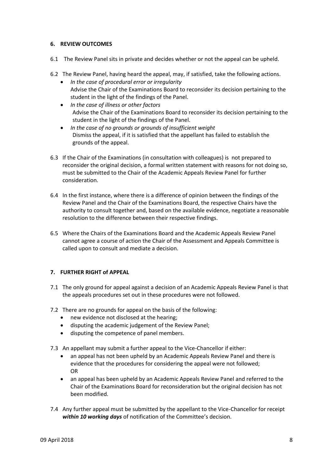#### **6. REVIEW OUTCOMES**

- 6.1 The Review Panel sits in private and decides whether or not the appeal can be upheld.
- 6.2 The Review Panel, having heard the appeal, may, if satisfied, take the following actions.
	- *In the case of procedural error or irregularity*  Advise the Chair of the Examinations Board to reconsider its decision pertaining to the student in the light of the findings of the Panel.
	- *In the case of illness or other factors* Advise the Chair of the Examinations Board to reconsider its decision pertaining to the student in the light of the findings of the Panel.
	- *In the case of no grounds or grounds of insufficient weight* Dismiss the appeal, if it is satisfied that the appellant has failed to establish the grounds of the appeal.
- 6.3 If the Chair of the Examinations (in consultation with colleagues) is not prepared to reconsider the original decision, a formal written statement with reasons for not doing so, must be submitted to the Chair of the Academic Appeals Review Panel for further consideration.
- 6.4 In the first instance, where there is a difference of opinion between the findings of the Review Panel and the Chair of the Examinations Board, the respective Chairs have the authority to consult together and, based on the available evidence, negotiate a reasonable resolution to the difference between their respective findings.
- 6.5 Where the Chairs of the Examinations Board and the Academic Appeals Review Panel cannot agree a course of action the Chair of the Assessment and Appeals Committee is called upon to consult and mediate a decision.

## **7. FURTHER RIGHT of APPEAL**

- 7.1 The only ground for appeal against a decision of an Academic Appeals Review Panel is that the appeals procedures set out in these procedures were not followed.
- 7.2 There are no grounds for appeal on the basis of the following:
	- new evidence not disclosed at the hearing;
	- disputing the academic judgement of the Review Panel;
	- disputing the competence of panel members.
- 7.3 An appellant may submit a further appeal to the Vice-Chancellor if either:
	- an appeal has not been upheld by an Academic Appeals Review Panel and there is evidence that the procedures for considering the appeal were not followed; OR
	- an appeal has been upheld by an Academic Appeals Review Panel and referred to the Chair of the Examinations Board for reconsideration but the original decision has not been modified.
- 7.4 Any further appeal must be submitted by the appellant to the Vice-Chancellor for receipt *within 10 working days* of notification of the Committee's decision.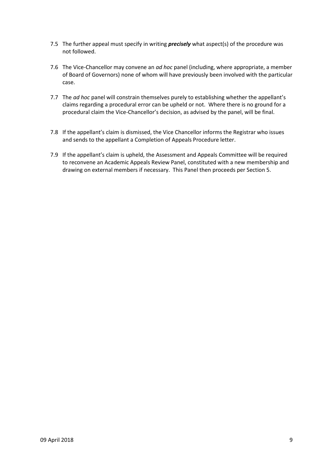- 7.5 The further appeal must specify in writing *precisely* what aspect(s) of the procedure was not followed.
- 7.6 The Vice-Chancellor may convene an *ad hoc* panel (including, where appropriate, a member of Board of Governors) none of whom will have previously been involved with the particular case.
- 7.7 The *ad hoc* panel will constrain themselves purely to establishing whether the appellant's claims regarding a procedural error can be upheld or not. Where there is no ground for a procedural claim the Vice-Chancellor's decision, as advised by the panel, will be final.
- 7.8 If the appellant's claim is dismissed, the Vice Chancellor informs the Registrar who issues and sends to the appellant a Completion of Appeals Procedure letter.
- 7.9 If the appellant's claim is upheld, the Assessment and Appeals Committee will be required to reconvene an Academic Appeals Review Panel, constituted with a new membership and drawing on external members if necessary. This Panel then proceeds per Section 5.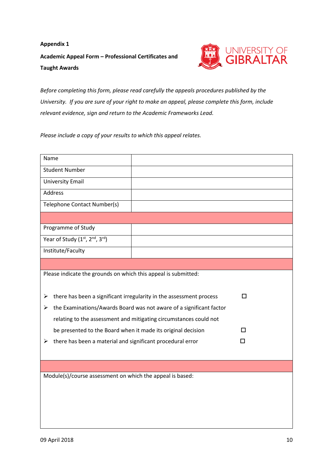# **Appendix 1 Academic Appeal Form – Professional Certificates and Taught Awards**



*Before completing this form, please read carefully the appeals procedures published by the University. If you are sure of your right to make an appeal, please complete this form, include relevant evidence, sign and return to the Academic Frameworks Lead.*

*Please include a copy of your results to which this appeal relates.*

| Name                                                                     |                                                                     |   |  |  |
|--------------------------------------------------------------------------|---------------------------------------------------------------------|---|--|--|
| <b>Student Number</b>                                                    |                                                                     |   |  |  |
| <b>University Email</b>                                                  |                                                                     |   |  |  |
| <b>Address</b>                                                           |                                                                     |   |  |  |
| Telephone Contact Number(s)                                              |                                                                     |   |  |  |
|                                                                          |                                                                     |   |  |  |
| Programme of Study                                                       |                                                                     |   |  |  |
| Year of Study (1st, 2nd, 3rd)                                            |                                                                     |   |  |  |
| Institute/Faculty                                                        |                                                                     |   |  |  |
|                                                                          |                                                                     |   |  |  |
| Please indicate the grounds on which this appeal is submitted:           |                                                                     |   |  |  |
|                                                                          |                                                                     |   |  |  |
| ➤                                                                        | there has been a significant irregularity in the assessment process | п |  |  |
| the Examinations/Awards Board was not aware of a significant factor<br>➤ |                                                                     |   |  |  |
|                                                                          | relating to the assessment and mitigating circumstances could not   |   |  |  |
| be presented to the Board when it made its original decision             |                                                                     | п |  |  |
| there has been a material and significant procedural error<br>≻          |                                                                     | п |  |  |
|                                                                          |                                                                     |   |  |  |
|                                                                          |                                                                     |   |  |  |
| Module(s)/course assessment on which the appeal is based:                |                                                                     |   |  |  |
|                                                                          |                                                                     |   |  |  |
|                                                                          |                                                                     |   |  |  |
|                                                                          |                                                                     |   |  |  |
|                                                                          |                                                                     |   |  |  |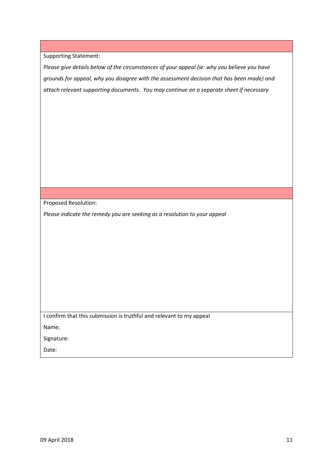*Please give details below of the circumstances of your appeal (ie: why you believe you have grounds for appeal, why you disagree with the assessment decision that has been made) and attach relevant supporting documents. You may continue on a separate sheet if necessary*

Proposed Resolution:

*Please indicate the remedy you are seeking as a resolution to your appeal*

I confirm that this submission is truthful and relevant to my appeal

Name:

Signature:

Date: